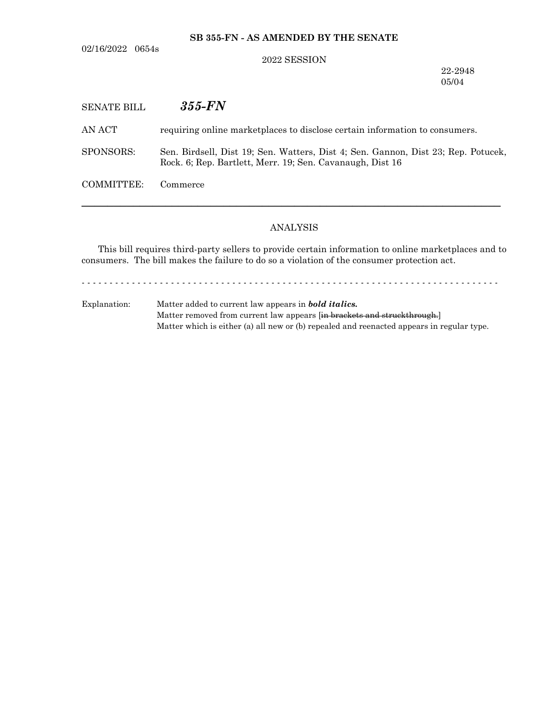**SB 355-FN - AS AMENDED BY THE SENATE**

02/16/2022 0654s

### 2022 SESSION

22-2948 05/04

| <b>SENATE BILL</b> | $355$ - $FN$                                                                                                                                   |
|--------------------|------------------------------------------------------------------------------------------------------------------------------------------------|
| AN ACT             | requiring online marketplaces to disclose certain information to consumers.                                                                    |
| SPONSORS:          | Sen. Birdsell, Dist 19; Sen. Watters, Dist 4; Sen. Gannon, Dist 23; Rep. Potucek,<br>Rock. 6; Rep. Bartlett, Merr. 19; Sen. Cavanaugh, Dist 16 |
| COMMITTEE:         | Commerce                                                                                                                                       |
|                    |                                                                                                                                                |

## ANALYSIS

This bill requires third-party sellers to provide certain information to online marketplaces and to consumers. The bill makes the failure to do so a violation of the consumer protection act.

- - - - - - - - - - - - - - - - - - - - - - - - - - - - - - - - - - - - - - - - - - - - - - - - - - - - - - - - - - - - - - - - - - - - - - - - - - -

Explanation: Matter added to current law appears in *bold italics.* Matter removed from current law appears [in brackets and struckthrough.] Matter which is either (a) all new or (b) repealed and reenacted appears in regular type.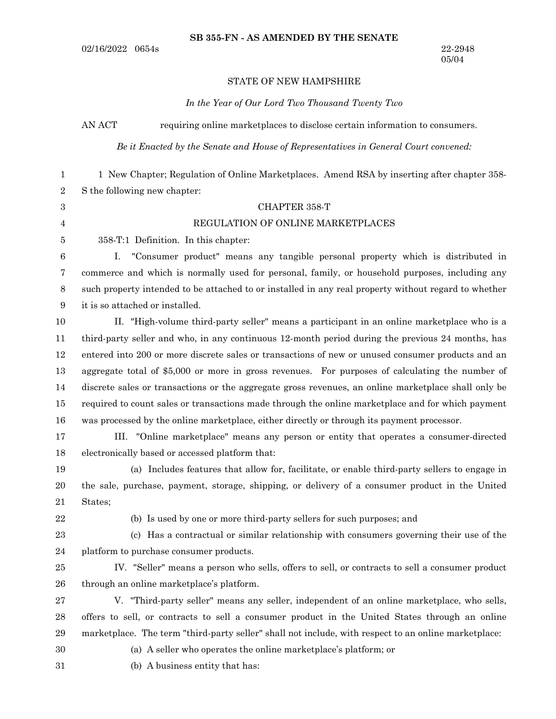#### STATE OF NEW HAMPSHIRE

#### *In the Year of Our Lord Two Thousand Twenty Two*

AN ACT requiring online market places to disclose certain information to consumers.

*Be it Enacted by the Senate and House of Representatives in General Court convened:*

1 New Chapter; Regulation of Online Marketplaces. Amend RSA by inserting after chapter 358- S the following new chapter: 1 2

### CHAPTER 358-T

### REGULATION OF ONLINE MARKETPLACES

358-T:1 Definition. In this chapter: 5

I. "Consumer product" means any tangible personal property which is distributed in commerce and which is normally used for personal, family, or household purposes, including any such property intended to be attached to or installed in any real property without regard to whether it is so attached or installed. 6 7 8 9

II. "High-volume third-party seller" means a participant in an online marketplace who is a third-party seller and who, in any continuous 12-month period during the previous 24 months, has entered into 200 or more discrete sales or transactions of new or unused consumer products and an aggregate total of \$5,000 or more in gross revenues. For purposes of calculating the number of discrete sales or transactions or the aggregate gross revenues, an online marketplace shall only be required to count sales or transactions made through the online marketplace and for which payment was processed by the online marketplace, either directly or through its payment processor. 10 11 12 13 14 15 16

III. "Online marketplace" means any person or entity that operates a consumer-directed electronically based or accessed platform that: 17 18

(a) Includes features that allow for, facilitate, or enable third-party sellers to engage in the sale, purchase, payment, storage, shipping, or delivery of a consumer product in the United States; 19 20 21

22

3 4

(b) Is used by one or more third-party sellers for such purposes; and

(c) Has a contractual or similar relationship with consumers governing their use of the platform to purchase consumer products. 23 24

IV. "Seller" means a person who sells, offers to sell, or contracts to sell a consumer product through an online marketplace's platform. 25 26

V. "Third-party seller" means any seller, independent of an online marketplace, who sells, offers to sell, or contracts to sell a consumer product in the United States through an online marketplace. The term "third-party seller" shall not include, with respect to an online marketplace: 27 28 29

30

(a) A seller who operates the online marketplace's platform; or

(b) A business entity that has: 31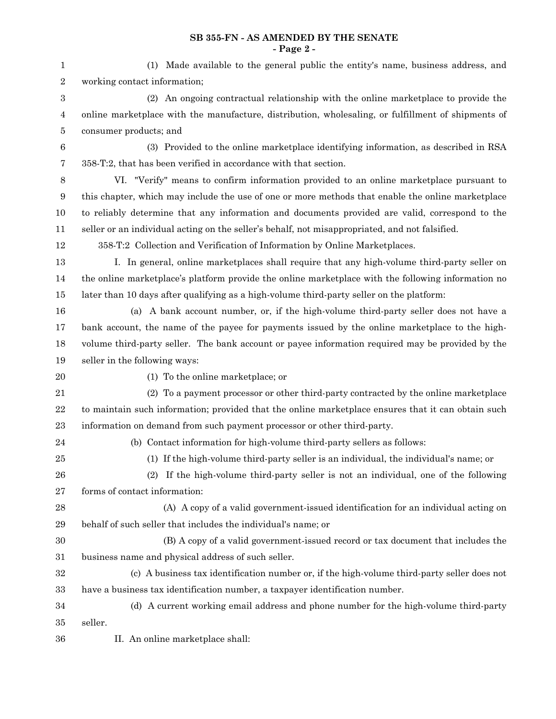### **SB 355-FN - AS AMENDED BY THE SENATE - Page 2 -**

| $\mathbf{1}$     | (1) Made available to the general public the entity's name, business address, and                  |  |  |
|------------------|----------------------------------------------------------------------------------------------------|--|--|
| $\,2$            | working contact information;                                                                       |  |  |
| $\boldsymbol{3}$ | (2) An ongoing contractual relationship with the online marketplace to provide the                 |  |  |
| $\overline{4}$   | online marketplace with the manufacture, distribution, wholesaling, or fulfillment of shipments of |  |  |
| $\bf 5$          | consumer products; and                                                                             |  |  |
| $\,6$            | (3) Provided to the online marketplace identifying information, as described in RSA                |  |  |
| $\overline{7}$   | 358-T:2, that has been verified in accordance with that section.                                   |  |  |
| $\,8\,$          | VI. "Verify" means to confirm information provided to an online marketplace pursuant to            |  |  |
| $9\,$            | this chapter, which may include the use of one or more methods that enable the online marketplace  |  |  |
| 10               | to reliably determine that any information and documents provided are valid, correspond to the     |  |  |
| 11               | seller or an individual acting on the seller's behalf, not misappropriated, and not falsified.     |  |  |
| 12               | 358-T:2 Collection and Verification of Information by Online Marketplaces.                         |  |  |
| 13               | I. In general, online marketplaces shall require that any high-volume third-party seller on        |  |  |
| 14               | the online marketplace's platform provide the online marketplace with the following information no |  |  |
| 15               | later than 10 days after qualifying as a high-volume third-party seller on the platform:           |  |  |
| 16               | (a) A bank account number, or, if the high-volume third-party seller does not have a               |  |  |
| 17               | bank account, the name of the payee for payments issued by the online marketplace to the high-     |  |  |
| 18               | volume third-party seller. The bank account or payee information required may be provided by the   |  |  |
| 19               | seller in the following ways:                                                                      |  |  |
| 20               | (1) To the online marketplace; or                                                                  |  |  |
| 21               | (2) To a payment processor or other third-party contracted by the online marketplace               |  |  |
| $\bf{22}$        | to maintain such information; provided that the online marketplace ensures that it can obtain such |  |  |
| $\bf 23$         | information on demand from such payment processor or other third-party.                            |  |  |
| 24               | (b) Contact information for high-volume third-party sellers as follows:                            |  |  |
| 25               | (1) If the high-volume third-party seller is an individual, the individual's name; or              |  |  |
| 26               | (2) If the high-volume third-party seller is not an individual, one of the following               |  |  |
| $\sqrt{27}$      | forms of contact information:                                                                      |  |  |
| 28               | (A) A copy of a valid government-issued identification for an individual acting on                 |  |  |
| 29               | behalf of such seller that includes the individual's name; or                                      |  |  |
| 30               | (B) A copy of a valid government-issued record or tax document that includes the                   |  |  |
| 31               | business name and physical address of such seller.                                                 |  |  |
| 32               | (c) A business tax identification number or, if the high-volume third-party seller does not        |  |  |
| 33               | have a business tax identification number, a taxpayer identification number.                       |  |  |
| 34               | (d) A current working email address and phone number for the high-volume third-party               |  |  |
| 35               | seller.                                                                                            |  |  |
| 36               | II. An online marketplace shall:                                                                   |  |  |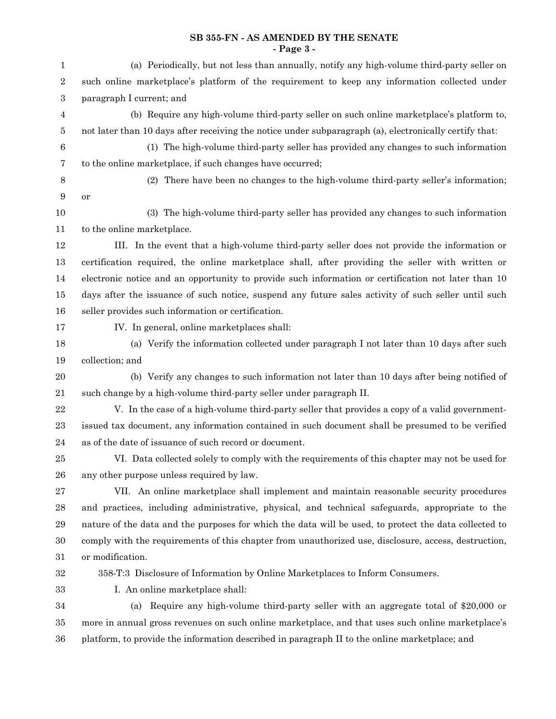# **SB 355-FN - AS AMENDED BY THE SENATE - Page 3 -**

| $\mathbf{1}$     | (a) Periodically, but not less than annually, notify any high-volume third-party seller on             |  |  |  |
|------------------|--------------------------------------------------------------------------------------------------------|--|--|--|
| $\,2$            | such online marketplace's platform of the requirement to keep any information collected under          |  |  |  |
| $\,3$            | paragraph I current; and                                                                               |  |  |  |
| 4                | (b) Require any high-volume third-party seller on such online marketplace's platform to,               |  |  |  |
| $\bf 5$          | not later than 10 days after receiving the notice under subparagraph (a), electronically certify that: |  |  |  |
| $\,6$            | (1) The high-volume third-party seller has provided any changes to such information                    |  |  |  |
| $\overline{7}$   | to the online marketplace, if such changes have occurred;                                              |  |  |  |
| $\,8\,$          | (2) There have been no changes to the high-volume third-party seller's information;                    |  |  |  |
| $\boldsymbol{9}$ | or                                                                                                     |  |  |  |
| 10               | (3) The high-volume third-party seller has provided any changes to such information                    |  |  |  |
| 11               | to the online marketplace.                                                                             |  |  |  |
| 12               | III. In the event that a high-volume third-party seller does not provide the information or            |  |  |  |
| 13               | certification required, the online marketplace shall, after providing the seller with written or       |  |  |  |
| 14               | electronic notice and an opportunity to provide such information or certification not later than 10    |  |  |  |
| 15               | days after the issuance of such notice, suspend any future sales activity of such seller until such    |  |  |  |
| 16               | seller provides such information or certification.                                                     |  |  |  |
| 17               | IV. In general, online marketplaces shall:                                                             |  |  |  |
| 18               | (a) Verify the information collected under paragraph I not later than 10 days after such               |  |  |  |
| 19               | collection; and                                                                                        |  |  |  |
| $20\,$           | (b) Verify any changes to such information not later than 10 days after being notified of              |  |  |  |
| 21               | such change by a high-volume third-party seller under paragraph II.                                    |  |  |  |
| $22\,$           | V. In the case of a high-volume third-party seller that provides a copy of a valid government-         |  |  |  |
| 23               | issued tax document, any information contained in such document shall be presumed to be verified       |  |  |  |
| $\bf{24}$        | as of the date of issuance of such record or document.                                                 |  |  |  |
| $25\,$           | VI. Data collected solely to comply with the requirements of this chapter may not be used for          |  |  |  |
| ${\bf 26}$       | any other purpose unless required by law.                                                              |  |  |  |
| $\sqrt{27}$      | VII. An online marketplace shall implement and maintain reasonable security procedures                 |  |  |  |
| $\bf{28}$        | and practices, including administrative, physical, and technical safeguards, appropriate to the        |  |  |  |
| $\,29$           | nature of the data and the purposes for which the data will be used, to protect the data collected to  |  |  |  |
| 30               | comply with the requirements of this chapter from unauthorized use, disclosure, access, destruction,   |  |  |  |
| 31               | or modification.                                                                                       |  |  |  |
| $32\,$           | 358-T:3 Disclosure of Information by Online Marketplaces to Inform Consumers.                          |  |  |  |
| 33               | I. An online marketplace shall:                                                                        |  |  |  |
| 34               | Require any high-volume third-party seller with an aggregate total of \$20,000 or<br>(a)               |  |  |  |
| 35               | more in annual gross revenues on such online marketplace, and that uses such online marketplace's      |  |  |  |
| $36\,$           | platform, to provide the information described in paragraph II to the online marketplace; and          |  |  |  |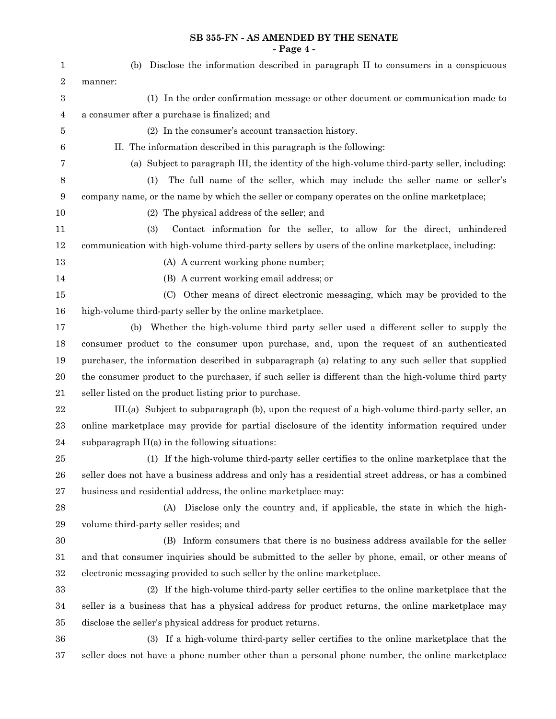# **SB 355-FN - AS AMENDED BY THE SENATE - Page 4 -**

| $\mathbf 1$      | (b) Disclose the information described in paragraph II to consumers in a conspicuous                 |
|------------------|------------------------------------------------------------------------------------------------------|
| $\,2$            | manner:                                                                                              |
| 3                | (1) In the order confirmation message or other document or communication made to                     |
| 4                | a consumer after a purchase is finalized; and                                                        |
| 5                | (2) In the consumer's account transaction history.                                                   |
| 6                | II. The information described in this paragraph is the following:                                    |
| 7                | (a) Subject to paragraph III, the identity of the high-volume third-party seller, including:         |
| 8                | The full name of the seller, which may include the seller name or seller's<br>(1)                    |
| $\boldsymbol{9}$ | company name, or the name by which the seller or company operates on the online marketplace;         |
| 10               | (2) The physical address of the seller; and                                                          |
| 11               | Contact information for the seller, to allow for the direct, unhindered<br>(3)                       |
| 12               | communication with high-volume third-party sellers by users of the online marketplace, including:    |
| 13               | (A) A current working phone number;                                                                  |
| 14               | (B) A current working email address; or                                                              |
| $15\,$           | (C) Other means of direct electronic messaging, which may be provided to the                         |
| 16               | high-volume third-party seller by the online marketplace.                                            |
| 17               | (b) Whether the high-volume third party seller used a different seller to supply the                 |
| 18               | consumer product to the consumer upon purchase, and, upon the request of an authenticated            |
| 19               | purchaser, the information described in subparagraph (a) relating to any such seller that supplied   |
| $20\,$           | the consumer product to the purchaser, if such seller is different than the high-volume third party  |
| 21               | seller listed on the product listing prior to purchase.                                              |
| 22               | III.(a) Subject to subparagraph (b), upon the request of a high-volume third-party seller, an        |
| 23               | online marketplace may provide for partial disclosure of the identity information required under     |
| 24               | subparagraph $II(a)$ in the following situations:                                                    |
| 25               | (1) If the high-volume third-party seller certifies to the online marketplace that the               |
| ${\bf 26}$       | seller does not have a business address and only has a residential street address, or has a combined |
| $27\,$           | business and residential address, the online marketplace may:                                        |
| $\bf{28}$        | Disclose only the country and, if applicable, the state in which the high-<br>(A)                    |
| 29               | volume third-party seller resides; and                                                               |
| $30\,$           | (B) Inform consumers that there is no business address available for the seller                      |
| 31               | and that consumer inquiries should be submitted to the seller by phone, email, or other means of     |
| $32\,$           | electronic messaging provided to such seller by the online marketplace.                              |
| 33               | (2) If the high-volume third-party seller certifies to the online marketplace that the               |
| 34               | seller is a business that has a physical address for product returns, the online marketplace may     |
| $35\,$           | disclose the seller's physical address for product returns.                                          |
| 36               | (3) If a high-volume third-party seller certifies to the online marketplace that the                 |
| 37               | seller does not have a phone number other than a personal phone number, the online marketplace       |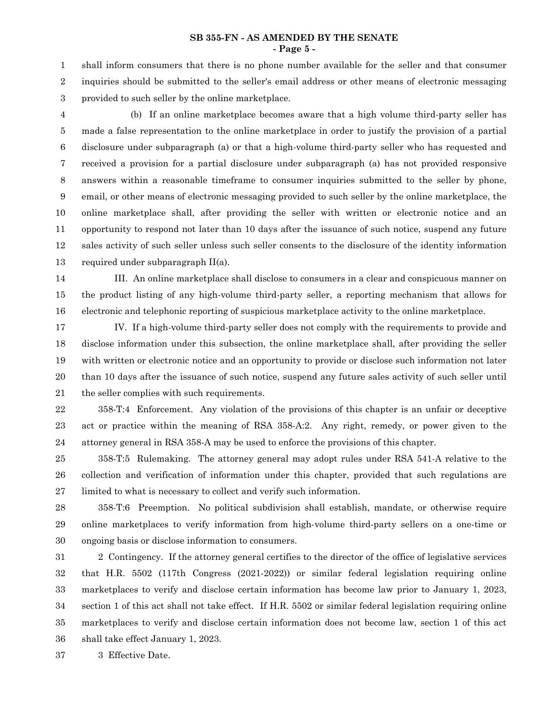shall inform consumers that there is no phone number available for the seller and that consumer inquiries should be submitted to the seller's email address or other means of electronic messaging provided to such seller by the online marketplace. 1 2 3

4

(b) If an online marketplace becomes aware that a high volume third-party seller has made a false representation to the online marketplace in order to justify the provision of a partial disclosure under subparagraph (a) or that a high-volume third-party seller who has requested and received a provision for a partial disclosure under subparagraph (a) has not provided responsive answers within a reasonable timeframe to consumer inquiries submitted to the seller by phone, email, or other means of electronic messaging provided to such seller by the online marketplace, the online marketplace shall, after providing the seller with written or electronic notice and an opportunity to respond not later than 10 days after the issuance of such notice, suspend any future sales activity of such seller unless such seller consents to the disclosure of the identity information required under subparagraph II(a). 5 6 7 8 9 10 11 12 13

III. An online marketplace shall disclose to consumers in a clear and conspicuous manner on the product listing of any high-volume third-party seller, a reporting mechanism that allows for electronic and telephonic reporting of suspicious marketplace activity to the online marketplace. 14 15 16

IV. If a high-volume third-party seller does not comply with the requirements to provide and disclose information under this subsection, the online marketplace shall, after providing the seller with written or electronic notice and an opportunity to provide or disclose such information not later than 10 days after the issuance of such notice, suspend any future sales activity of such seller until the seller complies with such requirements. 17 18 19 20 21

358-T:4 Enforcement. Any violation of the provisions of this chapter is an unfair or deceptive act or practice within the meaning of RSA 358-A:2. Any right, remedy, or power given to the attorney general in RSA 358-A may be used to enforce the provisions of this chapter. 22 23 24

358-T:5 Rulemaking. The attorney general may adopt rules under RSA 541-A relative to the collection and verification of information under this chapter, provided that such regulations are limited to what is necessary to collect and verify such information. 25 26 27

358-T:6 Preemption. No political subdivision shall establish, mandate, or otherwise require online marketplaces to verify information from high-volume third-party sellers on a one-time or ongoing basis or disclose information to consumers. 28 29 30

2 Contingency. If the attorney general certifies to the director of the office of legislative services that H.R. 5502 (117th Congress (2021-2022)) or similar federal legislation requiring online marketplaces to verify and disclose certain information has become law prior to January 1, 2023, section 1 of this act shall not take effect. If H.R. 5502 or similar federal legislation requiring online marketplaces to verify and disclose certain information does not become law, section 1 of this act shall take effect January 1, 2023. 31 32 33 34 35 36

3 Effective Date. 37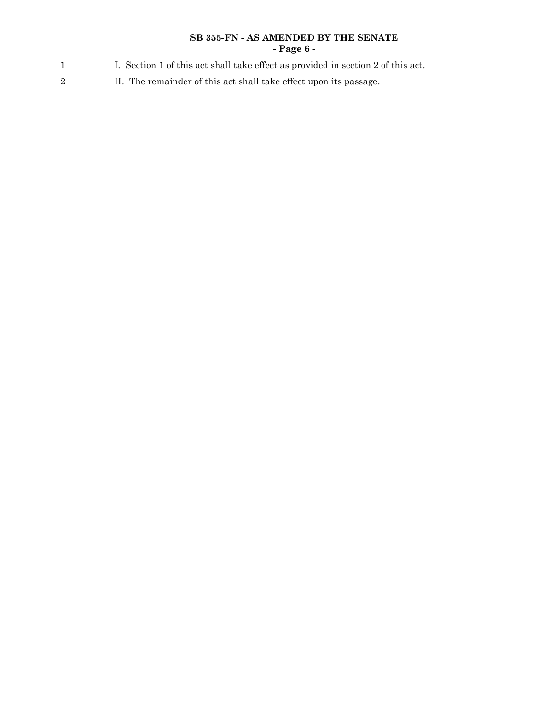## **SB 355-FN - AS AMENDED BY THE SENATE - Page 6 -**

- I. Section 1 of this act shall take effect as provided in section 2 of this act. 1
- II. The remainder of this act shall take effect upon its passage. 2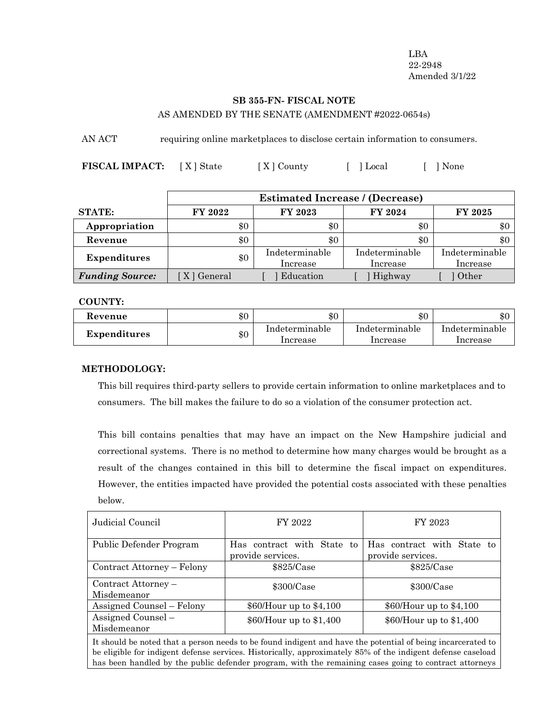LBA 22-2948 Amended 3/1/22

# **SB 355-FN- FISCAL NOTE** AS AMENDED BY THE SENATE (AMENDMENT #2022-0654s)

AN ACT requiring online marketplaces to disclose certain information to consumers.

FISCAL **IMPACT:** [X] State [X] County [ ] Local [ ] None

|                        |             | <b>Estimated Increase / (Decrease)</b> |                            |                            |
|------------------------|-------------|----------------------------------------|----------------------------|----------------------------|
| <b>STATE:</b>          | FY 2022     | FY 2023                                | FY 2024                    | FY 2025                    |
| Appropriation          | \$0         | \$0                                    | \$0                        | \$0                        |
| Revenue                | \$0         | \$0                                    | \$0                        | $\$0$                      |
| <b>Expenditures</b>    | \$0         | Indeterminable<br>Increase             | Indeterminable<br>Increase | Indeterminable<br>Increase |
| <b>Funding Source:</b> | X   General | Education                              | Highway                    | Other                      |

### **COUNTY:**

| Revenue             | $\$0$ | $\$0$          | $\$0$          | ሶሶ<br>æЛ.      |
|---------------------|-------|----------------|----------------|----------------|
| <b>Expenditures</b> | \$0   | Indeterminable | Indeterminable | Indeterminable |
|                     |       | Increase       | Increase       | Increase       |

## **METHODOLOGY:**

This bill requires third-party sellers to provide certain information to online marketplaces and to consumers. The bill makes the failure to do so a violation of the consumer protection act.

This bill contains penalties that may have an impact on the New Hampshire judicial and correctional systems. There is no method to determine how many charges would be brought as a result of the changes contained in this bill to determine the fiscal impact on expenditures. However, the entities impacted have provided the potential costs associated with these penalties below.

| Judicial Council                                                                                                   | FY 2022                                         | FY 2023                                         |  |
|--------------------------------------------------------------------------------------------------------------------|-------------------------------------------------|-------------------------------------------------|--|
| Public Defender Program                                                                                            | Has contract with State to<br>provide services. | Has contract with State to<br>provide services. |  |
| Contract Attorney – Felony                                                                                         | \$825/Case                                      | \$825/Case                                      |  |
| Contract Attorney –<br>Misdemeanor                                                                                 | $$300/C$ ase                                    | $$300/C$ ase                                    |  |
| Assigned Counsel – Felony                                                                                          | $$60/H$ our up to $$4,100$                      | $$60/H$ our up to $$4,100$                      |  |
| Assigned Counsel -<br>Misdemeanor                                                                                  | \$60/Hour up to \$1,400                         | \$60/Hour up to \$1,400                         |  |
| The best of the model of the beam compared to be found in dimensional beam the motionial of being incompany of the |                                                 |                                                 |  |

It should be noted that a person needs to be found indigent and have the potential of being incarcerated to be eligible for indigent defense services. Historically, approximately 85% of the indigent defense caseload has been handled by the public defender program, with the remaining cases going to contract attorneys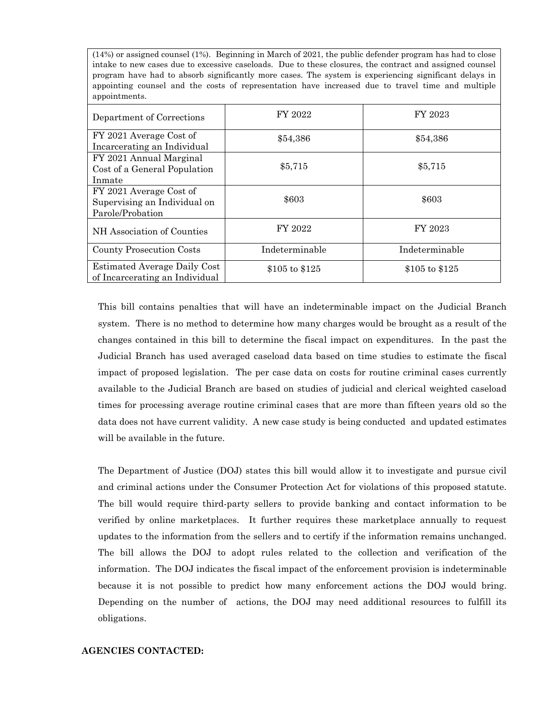(14%) or assigned counsel (1%). Beginning in March of 2021, the public defender program has had to close intake to new cases due to excessive caseloads. Due to these closures, the contract and assigned counsel program have had to absorb significantly more cases. The system is experiencing significant delays in appointing counsel and the costs of representation have increased due to travel time and multiple appointments.

| Department of Corrections                                                   | FY 2022        | FY 2023        |
|-----------------------------------------------------------------------------|----------------|----------------|
| FY 2021 Average Cost of<br>Incarcerating an Individual                      | \$54,386       | \$54,386       |
| FY 2021 Annual Marginal<br>Cost of a General Population<br>Inmate           | \$5,715        | \$5,715        |
| FY 2021 Average Cost of<br>Supervising an Individual on<br>Parole/Probation | \$603          | \$603          |
| NH Association of Counties                                                  | FY 2022        | FY 2023        |
| <b>County Prosecution Costs</b>                                             | Indeterminable | Indeterminable |
| <b>Estimated Average Daily Cost</b><br>of Incarcerating an Individual       | \$105 to \$125 | \$105 to \$125 |

This bill contains penalties that will have an indeterminable impact on the Judicial Branch system. There is no method to determine how many charges would be brought as a result of the changes contained in this bill to determine the fiscal impact on expenditures. In the past the Judicial Branch has used averaged caseload data based on time studies to estimate the fiscal impact of proposed legislation. The per case data on costs for routine criminal cases currently available to the Judicial Branch are based on studies of judicial and clerical weighted caseload times for processing average routine criminal cases that are more than fifteen years old so the data does not have current validity. A new case study is being conducted and updated estimates will be available in the future.

The Department of Justice (DOJ) states this bill would allow it to investigate and pursue civil and criminal actions under the Consumer Protection Act for violations of this proposed statute. The bill would require third-party sellers to provide banking and contact information to be verified by online marketplaces. It further requires these marketplace annually to request updates to the information from the sellers and to certify if the information remains unchanged. The bill allows the DOJ to adopt rules related to the collection and verification of the information. The DOJ indicates the fiscal impact of the enforcement provision is indeterminable because it is not possible to predict how many enforcement actions the DOJ would bring. Depending on the number of actions, the DOJ may need additional resources to fulfill its obligations.

### **AGENCIES CONTACTED:**